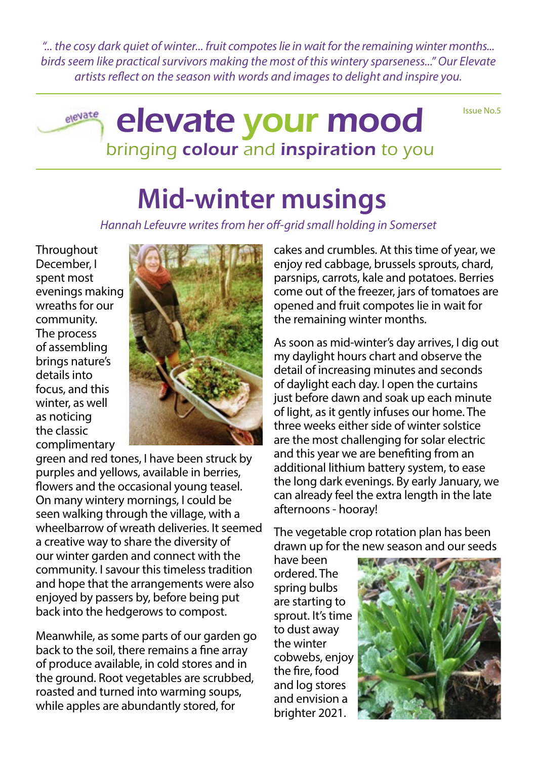*"... the cosy dark quiet of winter... fruit compotes lie in wait for the remaining winter months... birds seem like practical survivors making the most of this wintery sparseness..." Our Elevate artists reflect on the season with words and images to delight and inspire you.*

Issue No.5

### elevate elevate your mood bringing colour and inspiration to you

## **Mid-winter musings**

*Hannah Lefeuvre writes from her off-grid small holding in Somerset*

**Throughout** December, I spent most evenings making wreaths for our community. The process of assembling brings nature's details into focus, and this winter, as well as noticing the classic complimentary



green and red tones, I have been struck by purples and yellows, available in berries, flowers and the occasional young teasel. On many wintery mornings, I could be seen walking through the village, with a wheelbarrow of wreath deliveries. It seemed a creative way to share the diversity of our winter garden and connect with the community. I savour this timeless tradition and hope that the arrangements were also enjoyed by passers by, before being put back into the hedgerows to compost.

Meanwhile, as some parts of our garden go back to the soil, there remains a fine array of produce available, in cold stores and in the ground. Root vegetables are scrubbed, roasted and turned into warming soups, while apples are abundantly stored, for

cakes and crumbles. At this time of year, we enjoy red cabbage, brussels sprouts, chard, parsnips, carrots, kale and potatoes. Berries come out of the freezer, jars of tomatoes are opened and fruit compotes lie in wait for the remaining winter months.

As soon as mid-winter's day arrives, I dig out my daylight hours chart and observe the detail of increasing minutes and seconds of daylight each day. I open the curtains just before dawn and soak up each minute of light, as it gently infuses our home. The three weeks either side of winter solstice are the most challenging for solar electric and this year we are benefiting from an additional lithium battery system, to ease the long dark evenings. By early January, we can already feel the extra length in the late afternoons - hooray!

The vegetable crop rotation plan has been drawn up for the new season and our seeds

have been ordered. The spring bulbs are starting to sprout. It's time to dust away the winter cobwebs, enjoy the fire, food and log stores and envision a brighter 2021.

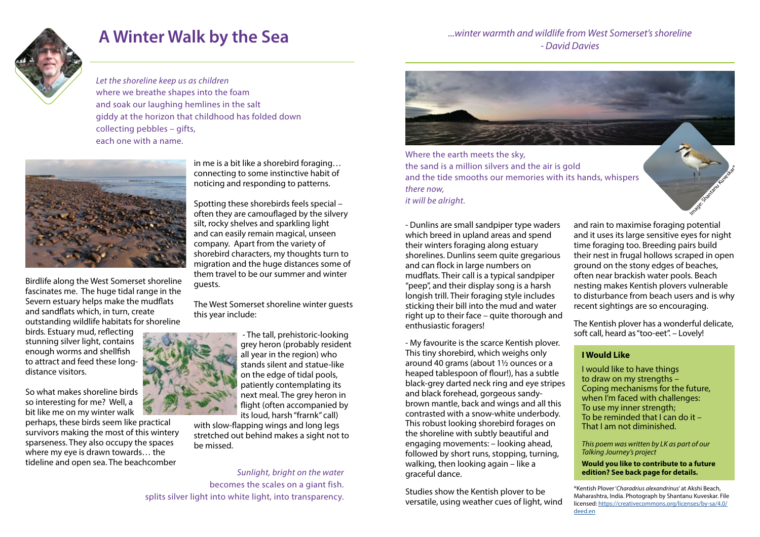

# **A Winter Walk by the Sea** Election Constant Associate the Music Changes and Wildlife from We and Wildlife from We

Birdlife along the West Somerset shoreline fascinates me. The huge tidal range in the Severn estuary helps make the mudflats and sandflats which, in turn, create outstanding wildlife habitats for shoreline

birds. Estuary mud, reflecting stunning silver light, contains enough worms and shellfish to attract and feed these longdistance visitors.

So what makes shoreline birds so interesting for me? Well, a bit like me on my winter walk

perhaps, these birds seem like practical survivors making the most of this wintery sparseness. They also occupy the spaces where my eye is drawn towards… the tideline and open sea. The beachcomber

in me is a bit like a shorebird foraging… connecting to some instinctive habit of noticing and responding to patterns.

Spotting these shorebirds feels special – often they are camouflaged by the silvery silt, rocky shelves and sparkling light and can easily remain magical, unseen company. Apart from the variety of shorebird characters, my thoughts turn to migration and the huge distances some of them travel to be our summer and winter guests.

The West Somerset shoreline winter guests this year include:



 - The tall, prehistoric-looking grey heron (probably resident all year in the region) who stands silent and statue-like on the edge of tidal pools, patiently contemplating its next meal. The grey heron in flight (often accompanied by its loud, harsh "frarnk" call)

with slow-flapping wings and long legs stretched out behind makes a sight not to be missed.

- My favourite is the scarce Kentish plover. This tiny shorebird, which weighs only around 40 grams (about 1½ ounces or a heaped tablespoon of flour!), has a subtle black-grey darted neck ring and eye stripes and black forehead, gorgeous sandybrown mantle, back and wings and all this contrasted with a snow-white underbody. This robust looking shorebird forages on the shoreline with subtly beautiful and engaging movements: – looking ahead, followed by short runs, stopping, turning, walking, then looking again – like a graceful dance.

- Dunlins are small sandpiper type waders which breed in upland areas and spend their winters foraging along estuary shorelines. Dunlins seem quite gregarious and can flock in large numbers on mudflats. Their call is a typical sandpiper "peep", and their display song is a harsh longish trill. Their foraging style includes sticking their bill into the mud and water right up to their face – quite thorough and enthusiastic foragers! and rain to maximise foraging potential and it uses its large sensitive eyes for night time foraging too. Breeding pairs build their nest in frugal hollows scraped in open ground on the stony edges of beaches, often near brackish water pools. Beach nesting makes Kentish plovers vulnerable to disturbance from beach users and is why recent sightings are so encouraging. The Kentish plover has a wonderful delicate, soft call, heard as "too-eet". – Lovely!

Studies show the Kentish plover to be versatile, using weather cues of light, wind

*...winter warmth and wildlife from West Somerset's shoreline* 

**Would you like to contribute to a future edition? See back page for details.** 

*Let the shoreline keep us as children* where we breathe shapes into the foam and soak our laughing hemlines in the salt giddy at the horizon that childhood has folded down collecting pebbles – gifts, each one with a name.



*Sunlight, bright on the water* becomes the scales on a giant fish. splits silver light into white light, into transparency.



Where the earth meets the sky, the sand is a million silvers and the air is gold and the tide smooths our memories with its hands, whispers *there now, it will be alright.*

> I would like to have things to draw on my strengths – Coping mechanisms for the future, when I'm faced with challenges: To use my inner strength; To be reminded that  $\overline{I}$  can do it – That I am not diminished.

Image: Shantanu Kuveskar<sup>\*</sup>

*This poem was written by LK as part of our Talking Journey's project*

### **I Would Like**

\*Kentish Plover '*Charadrius alexandrinus*' at Akshi Beach, Maharashtra, India. Photograph by Shantanu Kuveskar. File licensed: [https://creativecommons.org/licenses/by-sa/4.0/](https://creativecommons.org/licenses/by-sa/4.0/deed.en) [deed.en](https://creativecommons.org/licenses/by-sa/4.0/deed.en)